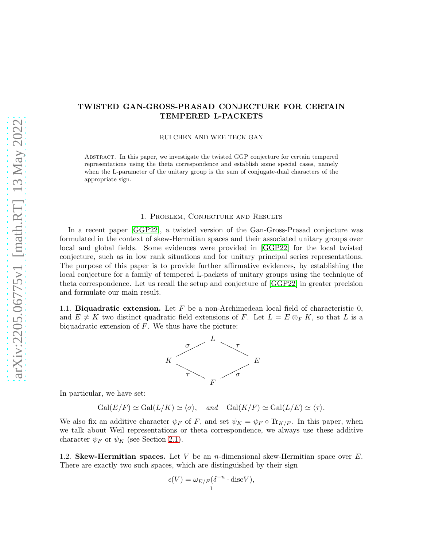# TWISTED GAN-GROSS-PRASAD CONJECTURE FOR CERTAIN TEMPERED L-PACKETS

RUI CHEN AND WEE TECK GAN

Abstract. In this paper, we investigate the twisted GGP conjecture for certain tempered representations using the theta correspondence and establish some special cases, namely when the L-parameter of the unitary group is the sum of conjugate-dual characters of the appropriate sign.

#### 1. Problem, Conjecture and Results

In a recent paper [\[GGP22\]](#page-17-0), a twisted version of the Gan-Gross-Prasad conjecture was formulated in the context of skew-Hermitian spaces and their associated unitary groups over local and global fields. Some evidences were provided in [\[GGP22\]](#page-17-0) for the local twisted conjecture, such as in low rank situations and for unitary principal series representations. The purpose of this paper is to provide further affirmative evidences, by establishing the local conjecture for a family of tempered L-packets of unitary groups using the technique of theta correspondence. Let us recall the setup and conjecture of [\[GGP22\]](#page-17-0) in greater precision and formulate our main result.

1.1. Biquadratic extension. Let  $F$  be a non-Archimedean local field of characteristic 0, and  $E \neq K$  two distinct quadratic field extensions of F. Let  $L = E \otimes_F K$ , so that L is a biquadratic extension of  $F$ . We thus have the picture:



In particular, we have set:

 $Gal(E/F) \simeq Gal(L/K) \simeq \langle \sigma \rangle$ , and  $Gal(K/F) \simeq Gal(L/E) \simeq \langle \tau \rangle$ .

We also fix an additive character  $\psi_F$  of F, and set  $\psi_K = \psi_F \circ \text{Tr}_{K/F}$ . In this paper, when we talk about Weil representations or theta correspondence, we always use these additive character  $\psi_F$  or  $\psi_K$  (see Section [2.1\)](#page-3-0).

1.2. Skew-Hermitian spaces. Let V be an *n*-dimensional skew-Hermitian space over  $E$ . There are exactly two such spaces, which are distinguished by their sign

$$
\epsilon(V) = \omega_{E/F}(\delta^{-n} \cdot \text{disc}V),
$$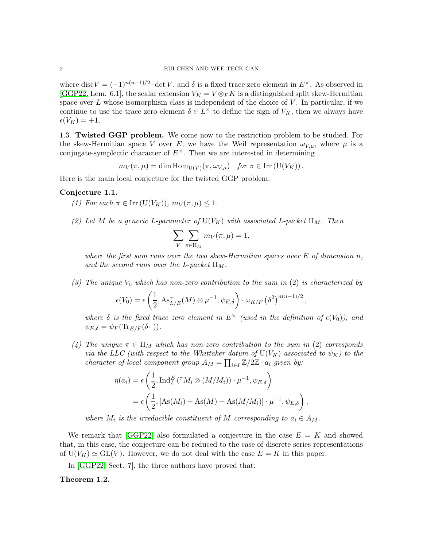where disc $V = (-1)^{n(n-1)/2} \cdot \det V$ , and  $\delta$  is a fixed trace zero element in  $E^{\times}$ . As observed in [\[GGP22,](#page-17-0) Lem. 6.1], the scalar extension  $V_K = V \otimes_F K$  is a distinguished split skew-Hermitian space over  $L$  whose isomorphism class is independent of the choice of  $V$ . In particular, if we continue to use the trace zero element  $\delta \in L^{\times}$  to define the sign of  $V_K$ , then we always have  $\epsilon(V_K) = +1.$ 

1.3. Twisted GGP problem. We come now to the restriction problem to be studied. For the skew-Hermitian space V over E, we have the Weil representation  $\omega_{V,\mu}$ , where  $\mu$  is a conjugate-symplectic character of  $E^{\times}$ . Then we are interested in determining

 $m_V(\pi,\mu) = \dim \text{Hom}_{\text{U}(V)}(\pi,\omega_{V,\mu}) \text{ for } \pi \in \text{Irr}(\text{U}(V_K))$ .

Here is the main local conjecture for the twisted GGP problem:

### <span id="page-1-0"></span>Conjecture 1.1.

(1) For each  $\pi \in \text{Irr}(\text{U}(V_K))$ ,  $m_V(\pi,\mu) \leq 1$ .

(2) Let M be a generic L-parameter of  $U(V_K)$  with associated L-packet  $\Pi_M$ . Then

$$
\sum_{V} \sum_{\pi \in \Pi_M} m_V(\pi, \mu) = 1,
$$

where the first sum runs over the two skew-Hermitian spaces over  $E$  of dimension  $n$ , and the second runs over the L-packet  $\Pi_M$ .

(3) The unique  $V_0$  which has non-zero contribution to the sum in (2) is characterized by

$$
\epsilon(V_0) = \epsilon \left( \frac{1}{2}, \mathrm{As}_{L/E}^+(M) \otimes \mu^{-1}, \psi_{E,\delta} \right) \cdot \omega_{K/F} \left( \delta^2 \right)^{n(n-1)/2},
$$

where  $\delta$  is the fixed trace zero element in  $E^{\times}$  (used in the definition of  $\epsilon(V_0)$ ), and  $\psi_{E,\delta} = \psi_F(\text{Tr}_{E/F}(\delta \cdot)).$ 

(4) The unique  $\pi \in \Pi_M$  which has non-zero contribution to the sum in (2) corresponds via the LLC (with respect to the Whittaker datum of  $U(V_K)$  associated to  $\psi_K$ ) to the character of local component group  $A_M = \prod_{i \in I} \mathbb{Z}/2\mathbb{Z} \cdot a_i$  given by:

$$
\eta(a_i) = \epsilon \left( \frac{1}{2}, \operatorname{Ind}_{L}^{E} (\tau M_i \otimes (M/M_i)) \cdot \mu^{-1}, \psi_{E, \delta} \right)
$$
  
=  $\epsilon \left( \frac{1}{2}, [\operatorname{As}(M_i) + \operatorname{As}(M) + \operatorname{As}(M/M_i)] \cdot \mu^{-1}, \psi_{E, \delta} \right),$ 

where  $M_i$  is the irreducible constituent of M corresponding to  $a_i \in A_M$ .

We remark that  $[GGP22]$  also formulated a conjecture in the case  $E = K$  and showed that, in this case, the conjecture can be reduced to the case of discrete series representations of  $U(V_K) \simeq GL(V)$ . However, we do not deal with the case  $E = K$  in this paper.

In [\[GGP22,](#page-17-0) Sect. 7], the three authors have proved that:

### <span id="page-1-1"></span>Theorem 1.2.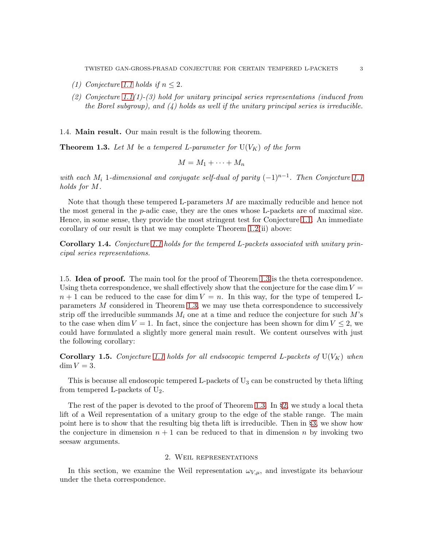- (1) Conjecture [1.1](#page-1-0) holds if  $n \leq 2$ .
- (2) Conjecture [1.1\(](#page-1-0)1)-(3) hold for unitary principal series representations (induced from the Borel subgroup), and  $(4)$  holds as well if the unitary principal series is irreducible.

1.4. Main result. Our main result is the following theorem.

<span id="page-2-0"></span>**Theorem 1.3.** Let M be a tempered L-parameter for  $U(V_K)$  of the form

$$
M = M_1 + \cdots + M_n
$$

with each  $M_i$  1-dimensional and conjugate self-dual of parity  $(-1)^{n-1}$ . Then Conjecture [1.1](#page-1-0) holds for M.

Note that though these tempered L-parameters M are maximally reducible and hence not the most general in the p-adic case, they are the ones whose L-packets are of maximal size. Hence, in some sense, they provide the most stringent test for Conjecture [1.1.](#page-1-0) An immediate corollary of our result is that we may complete Theorem [1.2\(](#page-1-1)ii) above:

Corollary 1.4. Conjecture [1.1](#page-1-0) holds for the tempered L-packets associated with unitary principal series representations.

1.5. Idea of proof. The main tool for the proof of Theorem [1.3](#page-2-0) is the theta correspondence. Using theta correspondence, we shall effectively show that the conjecture for the case dim  $V =$  $n + 1$  can be reduced to the case for dim  $V = n$ . In this way, for the type of tempered Lparameters M considered in Theorem [1.3,](#page-2-0) we may use theta correspondence to successively strip off the irreducible summands  $M_i$  one at a time and reduce the conjecture for such M's to the case when dim  $V = 1$ . In fact, since the conjecture has been shown for dim  $V \leq 2$ , we could have formulated a slightly more general main result. We content ourselves with just the following corollary:

**Corollary 1.5.** Conjecture [1.1](#page-1-0) holds for all endsocopic tempered L-packets of  $U(V_K)$  when  $\dim V = 3$ .

This is because all endoscopic tempered L-packets of  $U_3$  can be constructed by theta lifting from tempered L-packets of  $U_2$ .

The rest of the paper is devoted to the proof of Theorem [1.3.](#page-2-0) In §[2,](#page-2-1) we study a local theta lift of a Weil representation of a unitary group to the edge of the stable range. The main point here is to show that the resulting big theta lift is irreducible. Then in §[3,](#page-10-0) we show how the conjecture in dimension  $n + 1$  can be reduced to that in dimension n by invoking two seesaw arguments.

### 2. Weil representations

<span id="page-2-1"></span>In this section, we examine the Weil representation  $\omega_{V,\mu}$ , and investigate its behaviour under the theta correspondence.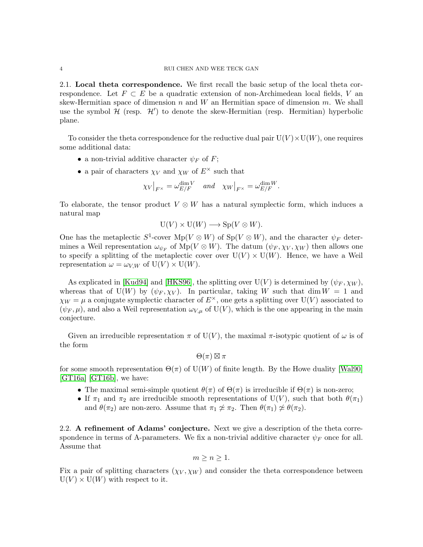<span id="page-3-0"></span>2.1. Local theta correspondence. We first recall the basic setup of the local theta correspondence. Let  $F \subset E$  be a quadratic extension of non-Archimedean local fields, V an skew-Hermitian space of dimension  $n$  and  $W$  an Hermitian space of dimension  $m$ . We shall use the symbol  $H$  (resp.  $H'$ ) to denote the skew-Hermitian (resp. Hermitian) hyperbolic plane.

To consider the theta correspondence for the reductive dual pair  $U(V) \times U(W)$ , one requires some additional data:

- a non-trivial additive character  $\psi_F$  of F;
- a pair of characters  $\chi_V$  and  $\chi_W$  of  $E^{\times}$  such that

$$
\chi_V|_{F^\times} = \omega_{E/F}^{\dim V} \quad \text{and} \quad \chi_W|_{F^\times} = \omega_{E/F}^{\dim W}.
$$

To elaborate, the tensor product  $V \otimes W$  has a natural symplectic form, which induces a natural map

$$
U(V) \times U(W) \longrightarrow Sp(V \otimes W).
$$

One has the metaplectic  $S^1$ -cover  $Mp(V \otimes W)$  of  $Sp(V \otimes W)$ , and the character  $\psi_F$  determines a Weil representation  $\omega_{\psi_F}$  of  $Mp(V \otimes W)$ . The datum  $(\psi_F, \chi_V, \chi_W)$  then allows one to specify a splitting of the metaplectic cover over  $U(V) \times U(W)$ . Hence, we have a Weil representation  $\omega = \omega_{V,W}$  of  $U(V) \times U(W)$ .

As explicated in [\[Kud94\]](#page-17-1) and [\[HKS96\]](#page-17-2), the splitting over  $U(V)$  is determined by  $(\psi_F, \chi_W)$ , whereas that of  $U(W)$  by  $(\psi_F, \chi_V)$ . In particular, taking W such that dim  $W = 1$  and  $\chi_W = \mu$  a conjugate symplectic character of  $E^{\times}$ , one gets a splitting over U(V) associated to  $(\psi_F, \mu)$ , and also a Weil representation  $\omega_{V,\mu}$  of U(V), which is the one appearing in the main conjecture.

Given an irreducible representation  $\pi$  of U(V), the maximal  $\pi$ -isotypic quotient of  $\omega$  is of the form

 $\Theta(\pi) \boxtimes \pi$ 

for some smooth representation  $\Theta(\pi)$  of U(W) of finite length. By the Howe duality [\[Wal90\]](#page-18-0) [\[GT16a\]](#page-17-3) [\[GT16b\]](#page-17-4), we have:

- The maximal semi-simple quotient  $\theta(\pi)$  of  $\Theta(\pi)$  is irreducible if  $\Theta(\pi)$  is non-zero;
- If  $\pi_1$  and  $\pi_2$  are irreducible smooth representations of U(V), such that both  $\theta(\pi_1)$ and  $\theta(\pi_2)$  are non-zero. Assume that  $\pi_1 \not\approx \pi_2$ . Then  $\theta(\pi_1) \not\approx \theta(\pi_2)$ .

<span id="page-3-1"></span>2.2. A refinement of Adams' conjecture. Next we give a description of the theta correspondence in terms of A-parameters. We fix a non-trivial additive character  $\psi_F$  once for all. Assume that

$$
m \ge n \ge 1.
$$

Fix a pair of splitting characters  $(\chi_V, \chi_W)$  and consider the theta correspondence between  $U(V) \times U(W)$  with respect to it.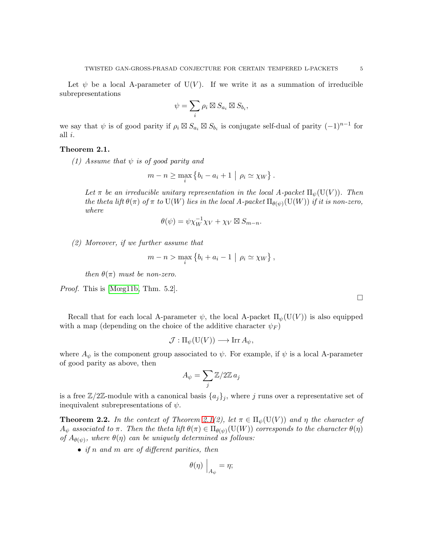Let  $\psi$  be a local A-parameter of U(V). If we write it as a summation of irreducible subrepresentations

$$
\psi = \sum_i \rho_i \boxtimes S_{a_i} \boxtimes S_{b_i},
$$

we say that  $\psi$  is of good parity if  $\rho_i \boxtimes S_{a_i} \boxtimes S_{b_i}$  is conjugate self-dual of parity  $(-1)^{n-1}$  for all i.

### <span id="page-4-0"></span>Theorem 2.1.

(1) Assume that  $\psi$  is of good parity and

$$
m - n \ge \max_{i} \left\{ b_i - a_i + 1 \mid \rho_i \simeq \chi_W \right\}.
$$

Let  $\pi$  be an irreducible unitary representation in the local A-packet  $\Pi_{\psi}(U(V))$ . Then the theta lift  $\theta(\pi)$  of  $\pi$  to  $\mathrm{U}(W)$  lies in the local A-packet  $\Pi_{\theta(\psi)}(\mathrm{U}(W))$  if it is non-zero, where

$$
\theta(\psi) = \psi \chi_W^{-1} \chi_V + \chi_V \boxtimes S_{m-n}.
$$

(2) Moreover, if we further assume that

$$
m-n > \max_{i} \left\{ b_i + a_i - 1 \mid \rho_i \simeq \chi_W \right\},\,
$$

then  $\theta(\pi)$  must be non-zero.

Proof. This is [\[Mœg11b,](#page-18-1) Thm. 5.2].

Recall that for each local A-parameter  $\psi$ , the local A-packet  $\Pi_{\psi}(U(V))$  is also equipped with a map (depending on the choice of the additive character  $\psi_F$ )

$$
\mathcal{J}:\Pi_{\psi}(\mathrm{U}(V))\longrightarrow\mathop{\rm Irr}\nolimits A_{\psi},
$$

where  $A_{\psi}$  is the component group associated to  $\psi$ . For example, if  $\psi$  is a local A-parameter of good parity as above, then

$$
A_{\psi} = \sum_{j} \mathbb{Z}/2\mathbb{Z} a_j
$$

is a free  $\mathbb{Z}/2\mathbb{Z}$ -module with a canonical basis  $\{a_i\}_i$ , where j runs over a representative set of inequivalent subrepresentations of  $\psi$ .

<span id="page-4-1"></span>**Theorem 2.2.** In the context of Theorem [2.1\(](#page-4-0)2), let  $\pi \in \Pi_{\psi}(\mathcal{U}(V))$  and  $\eta$  the character of  $A_\psi$  associated to  $\pi$ . Then the theta lift  $\theta(\pi)\in \Pi_{\theta(\psi)}({\rm U}(W))$  corresponds to the character  $\theta(\eta)$ of  $A_{\theta(\psi)}$ , where  $\theta(\eta)$  can be uniquely determined as follows:

• if n and m are of different parities, then

$$
\theta(\eta) \Big|_{A_{\psi}} = \eta;
$$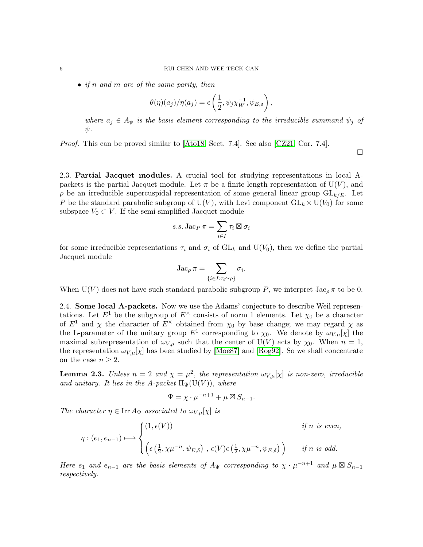$\bullet$  if n and m are of the same parity, then

$$
\theta(\eta)(a_j)/\eta(a_j) = \epsilon\left(\frac{1}{2}, \psi_j \chi_W^{-1}, \psi_{E,\delta}\right),\,
$$

where  $a_j \in A_{\psi}$  is the basis element corresponding to the irreducible summand  $\psi_j$  of  $\psi$ .

 $\Box$ 

Proof. This can be proved similar to [\[Ato18,](#page-17-5) Sect. 7.4]. See also [\[CZ21,](#page-17-6) Cor. 7.4].

2.3. Partial Jacquet modules. A crucial tool for studying representations in local Apackets is the partial Jacquet module. Let  $\pi$  be a finite length representation of  $U(V)$ , and  $\rho$  be an irreducible supercuspidal representation of some general linear group  $GL_{k/E}$ . Let P be the standard parabolic subgroup of  $U(V)$ , with Levi component  $GL_k \times U(V_0)$  for some subspace  $V_0 \subset V$ . If the semi-simplified Jacquet module

$$
s.s. \operatorname{Jac}_P \pi = \sum_{i \in I} \tau_i \boxtimes \sigma_i
$$

for some irreducible representations  $\tau_i$  and  $\sigma_i$  of  $GL_k$  and  $U(V_0)$ , then we define the partial Jacquet module

$$
\operatorname{Jac}_{\rho} \pi = \sum_{\{i \in I : \tau_i \simeq \rho\}} \sigma_i.
$$

When  $U(V)$  does not have such standard parabolic subgroup P, we interpret  $\text{Jac}_{\rho} \pi$  to be 0.

2.4. Some local A-packets. Now we use the Adams' conjecture to describe Weil representations. Let  $E^1$  be the subgroup of  $E^{\times}$  consists of norm 1 elements. Let  $\chi_0$  be a character of  $E^1$  and  $\chi$  the character of  $E^{\times}$  obtained from  $\chi_0$  by base change; we may regard  $\chi$  as the L-parameter of the unitary group  $E^1$  corresponding to  $\chi_0$ . We denote by  $\omega_{V,\mu}[\chi]$  the maximal subrepresentation of  $\omega_{V,\mu}$  such that the center of  $U(V)$  acts by  $\chi_0$ . When  $n = 1$ , the representation  $\omega_{V,\mu}[\chi]$  has been studied by [\[Moe87\]](#page-17-7) and [\[Rog92\]](#page-18-2). So we shall concentrate on the case  $n \geq 2$ .

<span id="page-5-0"></span>**Lemma 2.3.** Unless  $n = 2$  and  $\chi = \mu^2$ , the representation  $\omega_{V,\mu}[\chi]$  is non-zero, irreducible and unitary. It lies in the A-packet  $\Pi_{\Psi}(\mathrm{U}(V)),$  where

$$
\Psi = \chi \cdot \mu^{-n+1} + \mu \boxtimes S_{n-1}.
$$

The character  $\eta \in \text{Irr} A_{\Psi}$  associated to  $\omega_{V,\mu}[\chi]$  is

$$
\eta : (e_1, e_{n-1}) \mapsto \begin{cases} (1, \epsilon(V)) & \text{if } n \text{ is even,} \\ (\epsilon(\frac{1}{2}, \chi \mu^{-n}, \psi_{E, \delta}), \epsilon(V) \epsilon(\frac{1}{2}, \chi \mu^{-n}, \psi_{E, \delta})) & \text{if } n \text{ is odd.} \end{cases}
$$

Here  $e_1$  and  $e_{n-1}$  are the basis elements of  $A_{\Psi}$  corresponding to  $\chi \cdot \mu^{-n+1}$  and  $\mu \boxtimes S_{n-1}$ respectively.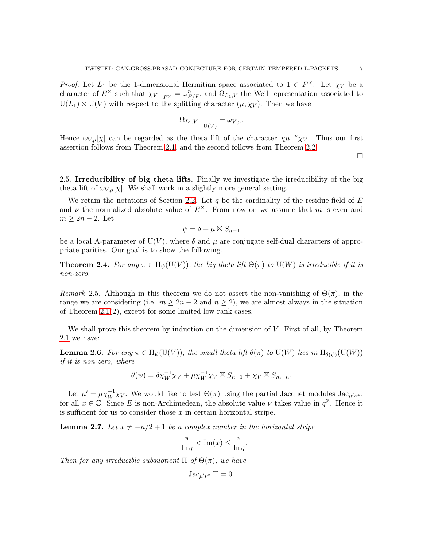*Proof.* Let  $L_1$  be the 1-dimensional Hermitian space associated to  $1 \in F^{\times}$ . Let  $\chi_V$  be a character of  $E^{\times}$  such that  $\chi_V|_{F^{\times}} = \omega_{E/F}^n$ , and  $\Omega_{L_1,V}$  the Weil representation associated to  $U(L_1) \times U(V)$  with respect to the splitting character  $(\mu, \chi_V)$ . Then we have

$$
\Omega_{L_1,V}\Big|_{\mathrm{U}(V)}=\omega_{V,\mu}.
$$

Hence  $\omega_{V,\mu}[\chi]$  can be regarded as the theta lift of the character  $\chi\mu^{-n}\chi_V$ . Thus our first assertion follows from Theorem [2.1,](#page-4-0) and the second follows from Theorem [2.2.](#page-4-1)

 $\Box$ 

2.5. Irreducibility of big theta lifts. Finally we investigate the irreducibility of the big theta lift of  $\omega_{V,\mu}[\chi]$ . We shall work in a slightly more general setting.

We retain the notations of Section [2.2.](#page-3-1) Let q be the cardinality of the residue field of  $E$ and  $\nu$  the normalized absolute value of  $E^{\times}$ . From now on we assume that m is even and  $m \geq 2n-2$ . Let

$$
\psi = \delta + \mu \boxtimes S_{n-1}
$$

be a local A-parameter of  $U(V)$ , where  $\delta$  and  $\mu$  are conjugate self-dual characters of appropriate parities. Our goal is to show the following.

<span id="page-6-2"></span>**Theorem 2.4.** For any  $\pi \in \Pi_{\psi}(\mathcal{U}(V))$ , the big theta lift  $\Theta(\pi)$  to  $\mathcal{U}(W)$  is irreducible if it is non-zero.

Remark 2.5. Although in this theorem we do not assert the non-vanishing of  $\Theta(\pi)$ , in the range we are considering (i.e.  $m \geq 2n-2$  and  $n \geq 2$ ), we are almost always in the situation of Theorem [2.1\(](#page-4-0)2), except for some limited low rank cases.

We shall prove this theorem by induction on the dimension of V. First of all, by Theorem [2.1](#page-4-0) we have:

<span id="page-6-1"></span>**Lemma 2.6.** For any  $\pi \in \Pi_{\psi}(\mathrm{U}(V))$ , the small theta lift  $\theta(\pi)$  to  $\mathrm{U}(W)$  lies in  $\Pi_{\theta(\psi)}(\mathrm{U}(W))$ if it is non-zero, where

$$
\theta(\psi) = \delta \chi_W^{-1} \chi_V + \mu \chi_W^{-1} \chi_V \boxtimes S_{n-1} + \chi_V \boxtimes S_{m-n}.
$$

Let  $\mu' = \mu \chi_W^{-1} \chi_V$ . We would like to test  $\Theta(\pi)$  using the partial Jacquet modules Jac<sub> $\mu' \nu^x$ </sub>, for all  $x \in \mathbb{C}$ . Since E is non-Archimedean, the absolute value  $\nu$  takes value in  $q^{\mathbb{Z}}$ . Hence it is sufficient for us to consider those  $x$  in certain horizontal stripe.

<span id="page-6-0"></span>**Lemma 2.7.** Let  $x \neq -n/2 + 1$  be a complex number in the horizontal stripe

$$
-\frac{\pi}{\ln q} < \text{Im}(x) \le \frac{\pi}{\ln q}
$$

.

Then for any irreducible subquotient  $\Pi$  of  $\Theta(\pi)$ , we have

$$
\mathrm{Jac}_{\mu'\nu^x}\,\Pi=0.
$$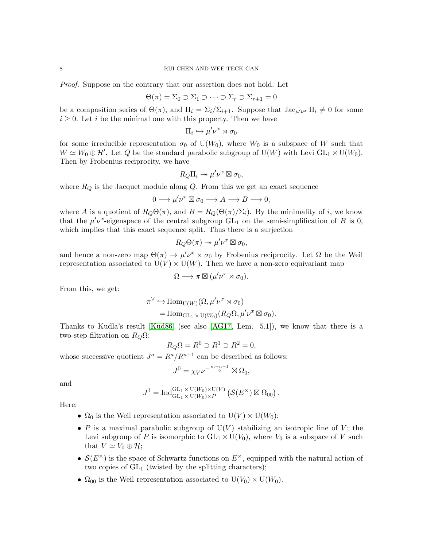#### 8 RUI CHEN AND WEE TECK GAN

Proof. Suppose on the contrary that our assertion does not hold. Let

$$
\Theta(\pi) = \Sigma_0 \supset \Sigma_1 \supset \cdots \supset \Sigma_r \supset \Sigma_{r+1} = 0
$$

be a composition series of  $\Theta(\pi)$ , and  $\Pi_i = \Sigma_i/\Sigma_{i+1}$ . Suppose that  $\text{Jac}_{\mu'\nu^x}\Pi_i \neq 0$  for some  $i \geq 0$ . Let i be the minimal one with this property. Then we have

$$
\Pi_i \hookrightarrow \mu' \nu^x \rtimes \sigma_0
$$

for some irreducible representation  $\sigma_0$  of U(W<sub>0</sub>), where W<sub>0</sub> is a subspace of W such that  $W \simeq W_0 \oplus \mathcal{H}'$ . Let Q be the standard parabolic subgroup of U(W) with Levi GL<sub>1</sub> × U(W<sub>0</sub>). Then by Frobenius reciprocity, we have

$$
R_Q\Pi_i \twoheadrightarrow \mu'\nu^x \boxtimes \sigma_0,
$$

where  $R_Q$  is the Jacquet module along  $Q$ . From this we get an exact sequence

$$
0 \longrightarrow \mu' \nu^{x} \boxtimes \sigma_0 \longrightarrow A \longrightarrow B \longrightarrow 0,
$$

where A is a quotient of  $R_Q\Theta(\pi)$ , and  $B = R_Q(\Theta(\pi)/\Sigma_i)$ . By the minimality of i, we know that the  $\mu'\nu^x$ -eigenspace of the central subgroup  $GL_1$  on the semi-simplification of B is 0, which implies that this exact sequence split. Thus there is a surjection

$$
R_Q\Theta(\pi) \twoheadrightarrow \mu'\nu^x \boxtimes \sigma_0,
$$

and hence a non-zero map  $\Theta(\pi) \to \mu' \nu^x \rtimes \sigma_0$  by Frobenius reciprocity. Let  $\Omega$  be the Weil representation associated to  $U(V) \times U(W)$ . Then we have a non-zero equivariant map

$$
\Omega \longrightarrow \pi \boxtimes (\mu' \nu^x \rtimes \sigma_0).
$$

From this, we get:

$$
\pi^{\vee} \hookrightarrow \text{Hom}_{\text{U}(W)}(\Omega, \mu' \nu^{x} \rtimes \sigma_{0})
$$
  
= Hom<sub>GL<sub>1</sub> × U(W<sub>0</sub>)</sub>(R<sub>Q</sub> $\Omega, \mu' \nu^{x} \boxtimes \sigma_{0}).$ 

Thanks to Kudla's result [\[Kud86\]](#page-17-8) (see also [\[AG17,](#page-17-9) Lem. 5.1]), we know that there is a two-step filtration on  $R_Q\Omega$ :

$$
R_Q\Omega = R^0 \supset R^1 \supset R^2 = 0,
$$

whose successive quotient  $J^a = R^a / R^{a+1}$  can be described as follows:

$$
J^0 = \chi_V \nu^{-\frac{m-n-1}{2}} \boxtimes \Omega_0,
$$

and

$$
J^1 = \operatorname{Ind}_{\mathrm{GL}_1 \times \mathrm{U}(W_0) \times \mathrm{V}}^{\mathrm{GL}_1 \times \mathrm{U}(W_0) \times \mathrm{U}(V)} \left( \mathcal{S}(E^{\times}) \boxtimes \Omega_{00} \right).
$$

Here:

- $\Omega_0$  is the Weil representation associated to  $U(V) \times U(W_0)$ ;
- P is a maximal parabolic subgroup of  $U(V)$  stabilizing an isotropic line of V; the Levi subgroup of P is isomorphic to  $GL_1 \times U(V_0)$ , where  $V_0$  is a subspace of V such that  $V \simeq V_0 \oplus \mathcal{H}$ ;
- $\mathcal{S}(E^{\times})$  is the space of Schwartz functions on  $E^{\times}$ , equipped with the natural action of two copies of  $GL_1$  (twisted by the splitting characters);
- $\Omega_{00}$  is the Weil representation associated to  $U(V_0) \times U(W_0)$ .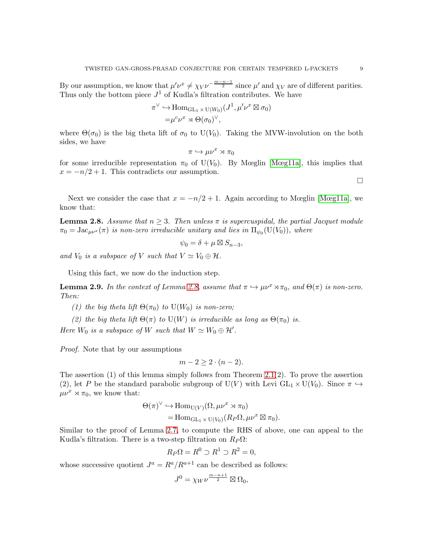By our assumption, we know that  $\mu' \nu^x \neq \chi_V \nu^{-\frac{m-n-1}{2}}$  since  $\mu'$  and  $\chi_V$  are of different parities. Thus only the bottom piece  $J^1$  of Kudla's filtration contributes. We have

$$
\pi^{\vee} \hookrightarrow \text{Hom}_{\text{GL}_1 \times \text{U}(W_0)}(J^1, \mu'\nu^x \boxtimes \sigma_0)
$$
  
=\mu^c \nu^x \rtimes \Theta(\sigma\_0)^{\vee},

where  $\Theta(\sigma_0)$  is the big theta lift of  $\sigma_0$  to U(V<sub>0</sub>). Taking the MVW-involution on the both sides, we have

$$
\pi\hookrightarrow \mu\nu^x\rtimes\pi_0
$$

for some irreducible representation  $\pi_0$  of U(V<sub>0</sub>). By Mœglin [\[Mœg11a\]](#page-17-10), this implies that  $x = -n/2 + 1$ . This contradicts our assumption.

Next we consider the case that  $x = -n/2 + 1$ . Again according to Mœglin [\[Mœg11a\]](#page-17-10), we know that:

<span id="page-8-0"></span>**Lemma 2.8.** Assume that  $n \geq 3$ . Then unless  $\pi$  is supercuspidal, the partial Jacquet module  $\pi_0 = \text{Jac}_{\mu\nu^x}(\pi)$  is non-zero irreducible unitary and lies in  $\Pi_{\psi_0}(\text{U}(V_0)),$  where

$$
\psi_0 = \delta + \mu \boxtimes S_{n-3},
$$

and  $V_0$  is a subspace of V such that  $V \simeq V_0 \oplus \mathcal{H}$ .

Using this fact, we now do the induction step.

**Lemma 2.9.** In the context of Lemma [2.8,](#page-8-0) assume that  $\pi \hookrightarrow \mu \nu^x \rtimes \pi_0$ , and  $\Theta(\pi)$  is non-zero. Then:

- (1) the big theta lift  $\Theta(\pi_0)$  to  $U(W_0)$  is non-zero;
- (2) the big theta lift  $\Theta(\pi)$  to U(W) is irreducible as long as  $\Theta(\pi_0)$  is.

Here  $W_0$  is a subspace of W such that  $W \simeq W_0 \oplus \mathcal{H}'$ .

Proof. Note that by our assumptions

$$
m-2\geq 2\cdot (n-2).
$$

The assertion  $(1)$  of this lemma simply follows from Theorem 2.1 $(2)$ . To prove the assertion (2), let P be the standard parabolic subgroup of U(V) with Levi  $GL_1 \times U(V_0)$ . Since  $\pi \hookrightarrow$  $\mu\nu^x \rtimes \pi_0$ , we know that:

$$
\Theta(\pi)^{\vee} \hookrightarrow \text{Hom}_{\text{U}(V)}(\Omega, \mu\nu^{x} \rtimes \pi_{0})
$$
  
= Hom<sub>GL<sub>1</sub> × U(V<sub>0</sub>)</sub>( $R_{P}\Omega, \mu\nu^{x} \boxtimes \pi_{0}$ ).

Similar to the proof of Lemma [2.7,](#page-6-0) to compute the RHS of above, one can appeal to the Kudla's filtration. There is a two-step filtration on  $R_P \Omega$ :

$$
R_P\Omega = R^0 \supset R^1 \supset R^2 = 0,
$$

whose successive quotient  $J^a = R^a / R^{a+1}$  can be described as follows:

$$
J^0=\chi_W\nu^{\frac{m-n+1}{2}}\boxtimes\Omega_0,
$$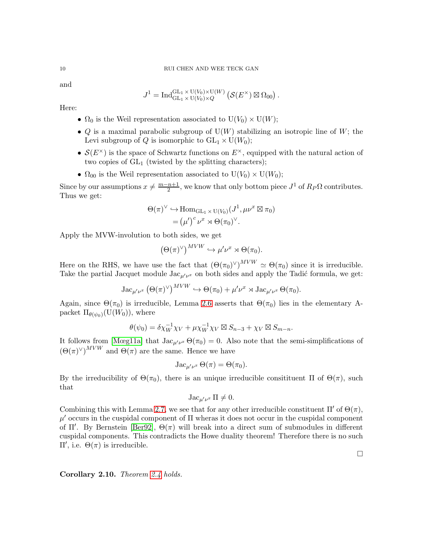and

$$
J^1 = \operatorname{Ind}_{\operatorname{GL}_1 \times \operatorname{U}(V_0) \times Q}^{\operatorname{GL}_1 \times \operatorname{U}(V_0) \times \operatorname{U}(W)} \left( \mathcal{S}(E^{\times}) \boxtimes \Omega_{00} \right).
$$

Here:

- $\Omega_0$  is the Weil representation associated to  $U(V_0) \times U(W)$ ;
- Q is a maximal parabolic subgroup of  $U(W)$  stabilizing an isotropic line of W; the Levi subgroup of Q is isomorphic to  $GL_1 \times U(W_0)$ ;
- $\mathcal{S}(E^{\times})$  is the space of Schwartz functions on  $E^{\times}$ , equipped with the natural action of two copies of  $GL_1$  (twisted by the splitting characters);
- $\Omega_{00}$  is the Weil representation associated to  $U(V_0) \times U(W_0)$ ;

Since by our assumptions  $x \neq \frac{m-n+1}{2}$  $\frac{n+1}{2}$ , we know that only bottom piece  $J^1$  of  $R_P\Omega$  contributes. Thus we get:

$$
\Theta(\pi)^{\vee} \hookrightarrow \text{Hom}_{\text{GL}_1 \times \text{U}(V_0)}(J^1, \mu \nu^x \boxtimes \pi_0)
$$
  
=  $(\mu')^c \nu^x \rtimes \Theta(\pi_0)^{\vee}.$ 

Apply the MVW-involution to both sides, we get

$$
(\Theta(\pi)^{\vee})^{MVW} \hookrightarrow \mu'\nu^{x} \rtimes \Theta(\pi_0).
$$

Here on the RHS, we have use the fact that  $(\Theta(\pi_0)^{\vee})^{MVW} \simeq \Theta(\pi_0)$  since it is irreducible. Take the partial Jacquet module  $\text{Jac}_{\mu'\nu^x}$  on both sides and apply the Tadić formula, we get:

$$
\operatorname{Jac}_{\mu'\nu^x}(\Theta(\pi)^\vee)^{MVW} \hookrightarrow \Theta(\pi_0) + \mu'\nu^x \rtimes \operatorname{Jac}_{\mu'\nu^x} \Theta(\pi_0).
$$

Again, since  $\Theta(\pi_0)$  is irreducible, Lemma [2.6](#page-6-1) asserts that  $\Theta(\pi_0)$  lies in the elementary Apacket  $\Pi_{\theta(\psi_0)}(U(W_0))$ , where

$$
\theta(\psi_0) = \delta \chi_W^{-1} \chi_V + \mu \chi_W^{-1} \chi_V \boxtimes S_{n-3} + \chi_V \boxtimes S_{m-n}.
$$

It follows from [\[Mœg11a\]](#page-17-10) that  $\text{Jac}_{\mu'\nu^x}\Theta(\pi_0)=0$ . Also note that the semi-simplifications of  $(\Theta(\pi)^{\vee})^{MVW}$  and  $\Theta(\pi)$  are the same. Hence we have

$$
\mathrm{Jac}_{\mu'\nu^x}\,\Theta(\pi)=\Theta(\pi_0).
$$

By the irreducibility of  $Θ(π_0)$ , there is an unique irreducible consitituent Π of  $Θ(π)$ , such that

$$
\mathrm{Jac}_{\mu'\nu^x}\Pi\neq 0.
$$

Combining this with Lemma [2.7,](#page-6-0) we see that for any other irreducible constituent  $\Pi'$  of  $\Theta(\pi)$ ,  $\mu'$  occurs in the cuspidal component of  $\Pi$  wheras it does not occur in the cuspidal component of  $\Pi'$ . By Bernstein [\[Ber92\]](#page-17-11),  $\Theta(\pi)$  will break into a direct sum of submodules in different cuspidal components. This contradicts the Howe duality theorem! Therefore there is no such Π′ , i.e. Θ(π) is irreducible.

Corollary 2.10. Theorem [2.4](#page-6-2) holds.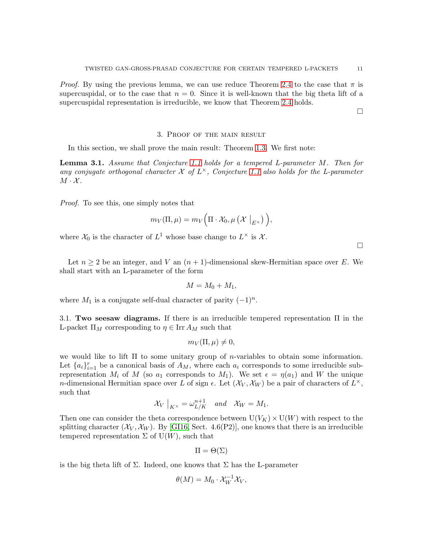*Proof.* By using the previous lemma, we can use reduce Theorem [2.4](#page-6-2) to the case that  $\pi$  is supercuspidal, or to the case that  $n = 0$ . Since it is well-known that the big theta lift of a supercuspidal representation is irreducible, we know that Theorem [2.4](#page-6-2) holds.

 $\Box$ 

 $\Box$ 

## 3. Proof of the main result

<span id="page-10-0"></span>In this section, we shall prove the main result: Theorem [1.3.](#page-2-0) We first note:

<span id="page-10-1"></span>Lemma 3.1. Assume that Conjecture [1.1](#page-1-0) holds for a tempered L-parameter M. Then for any conjugate orthogonal character  $\mathcal X$  of  $L^{\times}$ , Conjecture [1.1](#page-1-0) also holds for the L-parameter  $M \cdot \mathcal{X}$ .

Proof. To see this, one simply notes that

$$
m_V(\Pi,\mu)=m_V\Big(\Pi\cdot\mathcal{X}_0,\mu\left(\mathcal{X}\bigm|_{E^{\times}}\right)\Big),
$$

where  $\mathcal{X}_0$  is the character of  $L^1$  whose base change to  $L^{\times}$  is  $\mathcal{X}$ .

Let  $n \geq 2$  be an integer, and V an  $(n + 1)$ -dimensional skew-Hermitian space over E. We shall start with an L-parameter of the form

$$
M = M_0 + M_1,
$$

where  $M_1$  is a conjugate self-dual character of parity  $(-1)^n$ .

3.1. Two seesaw diagrams. If there is an irreducible tempered representation  $\Pi$  in the L-packet  $\Pi_M$  corresponding to  $\eta \in \text{Irr } A_M$  such that

$$
m_V(\Pi,\mu)\neq 0,
$$

we would like to lift  $\Pi$  to some unitary group of *n*-variables to obtain some information. Let  $\{a_i\}_{i=1}^r$  be a canonical basis of  $A_M$ , where each  $a_i$  corresponds to some irreducible subrepresentation  $M_i$  of M (so  $a_1$  corresponds to  $M_1$ ). We set  $\epsilon = \eta(a_1)$  and W the unique n-dimensional Hermitian space over L of sign  $\epsilon$ . Let  $(\mathcal{X}_V, \mathcal{X}_W)$  be a pair of characters of  $L^{\times}$ , such that

$$
\mathcal{X}_V\big|_{K^\times} = \omega_{L/K}^{n+1} \quad and \quad \mathcal{X}_W = M_1.
$$

Then one can consider the theta correspondence between  $U(V_K) \times U(W)$  with respect to the splitting character  $(\mathcal{X}_V, \mathcal{X}_W)$ . By [\[GI16,](#page-17-12) Sect. 4.6(P2)], one knows that there is an irreducible tempered representation  $\Sigma$  of U(W), such that

$$
\Pi = \Theta(\Sigma)
$$

is the big theta lift of  $\Sigma$ . Indeed, one knows that  $\Sigma$  has the L-parameter

$$
\theta(M) = M_0 \cdot \mathcal{X}_W^{-1} \mathcal{X}_V,
$$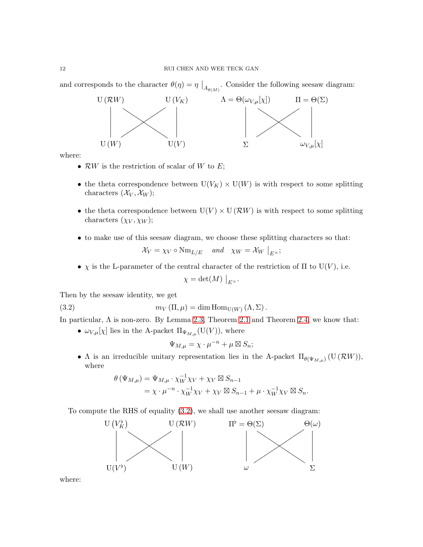and corresponds to the character  $\theta(\eta) = \eta \big|_{A_{\theta(M)}}$ . Consider the following seesaw diagram:



where:

- $\mathcal{R}W$  is the restriction of scalar of W to E;
- the theta correspondence between  $U(V_K) \times U(W)$  is with respect to some splitting characters  $(\mathcal{X}_V, \mathcal{X}_W);$
- the theta correspondence between  $U(V) \times U(\mathcal{R}W)$  is with respect to some splitting characters  $(\chi_V, \chi_W);$
- to make use of this seesaw diagram, we choose these splitting characters so that:  $\mathcal{X}_V = \chi_V \circ \text{Nm}_{L/E}$  and  $\chi_W = \mathcal{X}_W \big|_{E^{\times}};$
- $\chi$  is the L-parameter of the central character of the restriction of  $\Pi$  to U(V), i.e.

$$
\chi = \det(M) \Big|_{E^{\times}}.
$$

Then by the seesaw identity, we get

(3.2) 
$$
m_V(\Pi,\mu) = \dim \text{Hom}_{U(W)}(\Lambda,\Sigma).
$$

In particular,  $\Lambda$  is non-zero. By Lemma [2.3,](#page-5-0) Theorem [2.1](#page-4-0) and Theorem [2.4,](#page-6-2) we know that:

•  $\omega_{V,\mu}[\chi]$  lies in the A-packet  $\Pi_{\Psi_{M,\mu}}(\mathrm{U}(V)),$  where

<span id="page-11-0"></span>
$$
\Psi_{M,\mu} = \chi \cdot \mu^{-n} + \mu \boxtimes S_n;
$$

•  $\Lambda$  is an irreducible unitary representation lies in the A-packet  $\Pi_{\theta(\Psi_{M,\mu})}(U(\mathcal{R}W)),$ where

$$
\theta(\Psi_{M,\mu}) = \Psi_{M,\mu} \cdot \chi_W^{-1} \chi_V + \chi_V \boxtimes S_{n-1}
$$
  
=  $\chi \cdot \mu^{-n} \cdot \chi_W^{-1} \chi_V + \chi_V \boxtimes S_{n-1} + \mu \cdot \chi_W^{-1} \chi_V \boxtimes S_n.$ 

To compute the RHS of equality [\(3.2\)](#page-11-0), we shall use another seesaw diagram:



where: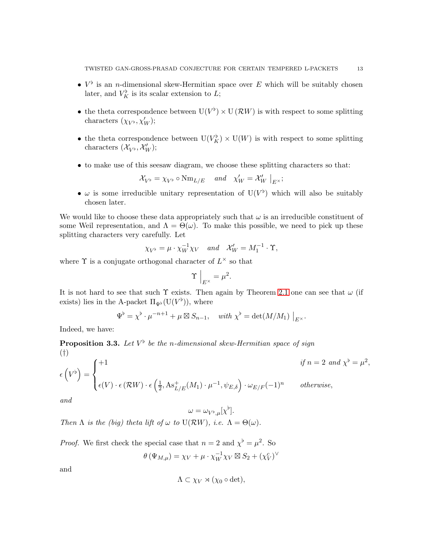- $V^{\flat}$  is an *n*-dimensional skew-Hermitian space over E which will be suitably chosen later, and  $V_K^{\flat}$  is its scalar extension to L;
- the theta correspondence between  $U(V^{\flat}) \times U(\mathcal{R}W)$  is with respect to some splitting characters  $(\chi_{V^{\flat}}, \chi'_{W});$
- the theta correspondence between  $U(V_K^{\flat}) \times U(W)$  is with respect to some splitting characters  $(\mathcal{X}_{V^{\flat}}, \mathcal{X}'_{W});$
- to make use of this seesaw diagram, we choose these splitting characters so that:

$$
\mathcal{X}_{V^{\flat}} = \chi_{V^{\flat}} \circ \text{Nm}_{L/E} \quad \text{and} \quad \chi'_W = \mathcal{X}'_W \big|_{E^{\times}};
$$

•  $\omega$  is some irreducible unitary representation of  $U(V^{\flat})$  which will also be suitably chosen later.

We would like to choose these data appropriately such that  $\omega$  is an irreducible constituent of some Weil representation, and  $\Lambda = \Theta(\omega)$ . To make this possible, we need to pick up these splitting characters very carefully. Let

$$
\chi_{V^{\flat}} = \mu \cdot \chi_W^{-1} \chi_V \quad and \quad \mathcal{X}'_W = M_1^{-1} \cdot \Upsilon,
$$

where  $\Upsilon$  is a conjugate orthogonal character of  $L^{\times}$  so that

$$
\Upsilon\Big|_{E^\times}=\mu^2.
$$

It is not hard to see that such  $\Upsilon$  exists. Then again by Theorem [2.1](#page-4-0) one can see that  $\omega$  (if exists) lies in the A-packet  $\Pi_{\Psi^{\flat}}(\mathrm{U}(V^{\flat})),$  where

$$
\Psi^{\flat} = \chi^{\flat} \cdot \mu^{-n+1} + \mu \boxtimes S_{n-1}, \quad \text{with } \chi^{\flat} = \det(M/M_1) \big|_{E^{\times}}.
$$

Indeed, we have:

<span id="page-12-1"></span><span id="page-12-0"></span>**Proposition 3.3.** Let  $V^{\flat}$  be the n-dimensional skew-Hermitian space of sign (†)

$$
\epsilon\left(V^{\flat}\right) = \begin{cases} +1 & \text{if } n = 2 \text{ and } \chi^{\flat} = \mu^2\\ \epsilon(V) \cdot \epsilon\left(\mathcal{R}W\right) \cdot \epsilon\left(\frac{1}{2}, \text{As}_{L/E}^+(M_1) \cdot \mu^{-1}, \psi_{E,\delta}\right) \cdot \omega_{E/F}(-1)^n & otherwise, \end{cases}
$$

and

$$
\omega = \omega_{V^{\flat},\mu}[\chi^{\flat}].
$$

Then  $\Lambda$  is the (big) theta lift of  $\omega$  to  $U(\mathcal{R}W)$ , i.e.  $\Lambda = \Theta(\omega)$ .

*Proof.* We first check the special case that  $n = 2$  and  $\chi^{\flat} = \mu^2$ . So −1 c

$$
\theta(\Psi_{M,\mu}) = \chi_V + \mu \cdot \chi_W^{-1} \chi_V \boxtimes S_2 + (\chi_V^c)^\vee
$$

and

$$
\Lambda \subset \chi_V \rtimes (\chi_0 \circ \det),
$$

,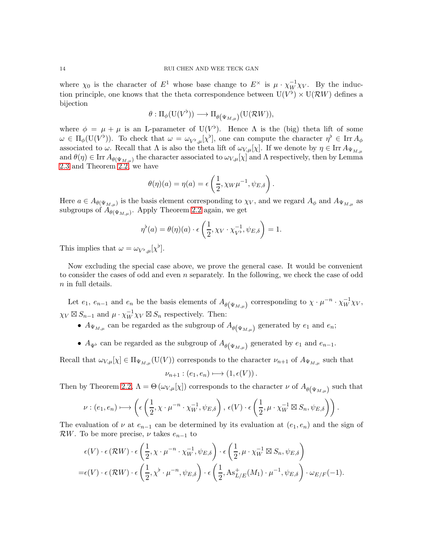where  $\chi_0$  is the character of  $E^1$  whose base change to  $E^{\times}$  is  $\mu \cdot \chi_W^{-1} \chi_V$ . By the induction principle, one knows that the theta correspondence between  $U(V^{\flat}) \times U(\mathcal{R}W)$  defines a bijection

$$
\theta: \Pi_{\phi}(\mathrm{U}(V^{\flat})) \longrightarrow \Pi_{\theta(\Psi_{M,\mu})}(\mathrm{U}(\mathcal{R}W)),
$$

where  $\phi = \mu + \mu$  is an L-parameter of U(V<sup>b</sup>). Hence  $\Lambda$  is the (big) theta lift of some  $\omega \in \Pi_{\phi}(\mathrm{U}(V^{\flat}))$ . To check that  $\omega = \omega_{V^{\flat},\mu}[\chi^{\flat}],$  one can compute the character  $\eta^{\flat} \in \text{Irr} A_{\phi}$ associated to  $\omega$ . Recall that  $\Lambda$  is also the theta lift of  $\omega_{V,\mu}[\chi]$ . If we denote by  $\eta \in \text{Irr } A_{\Psi_{M,\mu}}$ and  $\theta(\eta) \in \text{Irr } A_{\theta(\Psi_{M,\mu})}$  the character associated to  $\omega_{V,\mu}[\chi]$  and  $\Lambda$  respectively, then by Lemma [2.3](#page-5-0) and Theorem [2.2,](#page-4-1) we have

$$
\theta(\eta)(a) = \eta(a) = \epsilon\left(\frac{1}{2}, \chi_W \mu^{-1}, \psi_{E,\delta}\right).
$$

Here  $a \in A_{\theta(\Psi_{M,\mu})}$  is the basis element corresponding to  $\chi_V$ , and we regard  $A_{\phi}$  and  $A_{\Psi_{M,\mu}}$  as subgroups of  $A_{\theta(\Psi_{M,\mu})}$ . Apply Theorem [2.2](#page-4-1) again, we get

$$
\eta^{\flat}(a) = \theta(\eta)(a) \cdot \epsilon\left(\frac{1}{2}, \chi_V \cdot \chi_{V^{\flat}}^{-1}, \psi_{E, \delta}\right) = 1.
$$

This implies that  $\omega = \omega_{V^{\flat},\mu}[\chi^{\flat}].$ 

Now excluding the special case above, we prove the general case. It would be convenient to consider the cases of odd and even  $n$  separately. In the following, we check the case of odd n in full details.

Let  $e_1, e_{n-1}$  and  $e_n$  be the basis elements of  $A_{\theta(\Psi_{M,\mu})}$  corresponding to  $\chi \cdot \mu^{-n} \cdot \chi_W^{-1} \chi_V$ ,  $\chi_V \boxtimes S_{n-1}$  and  $\mu \cdot \chi_W^{-1} \chi_V \boxtimes S_n$  respectively. Then:

- $A_{\Psi_{M,\mu}}$  can be regarded as the subgroup of  $A_{\theta(\Psi_{M,\mu})}$  generated by  $e_1$  and  $e_n$ ;
- $A_{\Psi}$  can be regarded as the subgroup of  $A_{\theta(\Psi_{M,\mu})}$  generated by  $e_1$  and  $e_{n-1}$ .

Recall that  $\omega_{V,\mu}[\chi] \in \Pi_{\Psi_{M,\mu}}(U(V))$  corresponds to the character  $\nu_{n+1}$  of  $A_{\Psi_{M,\mu}}$  such that

$$
\nu_{n+1} : (e_1, e_n) \longmapsto (1, \epsilon(V)).
$$

Then by Theorem [2.2,](#page-4-1)  $\Lambda = \Theta\left(\omega_{V,\mu}[\chi]\right)$  corresponds to the character  $\nu$  of  $A_{\theta(\Psi_{M,\mu})}$  such that

$$
\nu: (e_1, e_n) \longmapsto \left(\epsilon\left(\frac{1}{2}, \chi \cdot \mu^{-n} \cdot \chi_W^{-1}, \psi_{E, \delta}\right), \epsilon(V) \cdot \epsilon\left(\frac{1}{2}, \mu \cdot \chi_W^{-1} \boxtimes S_n, \psi_{E, \delta}\right)\right).
$$

The evaluation of  $\nu$  at  $e_{n-1}$  can be determined by its evaluation at  $(e_1, e_n)$  and the sign of RW. To be more precise,  $\nu$  takes  $e_{n-1}$  to

$$
\epsilon(V) \cdot \epsilon(\mathcal{R}W) \cdot \epsilon\left(\frac{1}{2}, \chi \cdot \mu^{-n} \cdot \chi_W^{-1}, \psi_{E,\delta}\right) \cdot \epsilon\left(\frac{1}{2}, \mu \cdot \chi_W^{-1} \boxtimes S_n, \psi_{E,\delta}\right)
$$
  
=  $\epsilon(V) \cdot \epsilon(\mathcal{R}W) \cdot \epsilon\left(\frac{1}{2}, \chi^{\flat} \cdot \mu^{-n}, \psi_{E,\delta}\right) \cdot \epsilon\left(\frac{1}{2}, \text{As}_{L/E}^+(M_1) \cdot \mu^{-1}, \psi_{E,\delta}\right) \cdot \omega_{E/F}(-1).$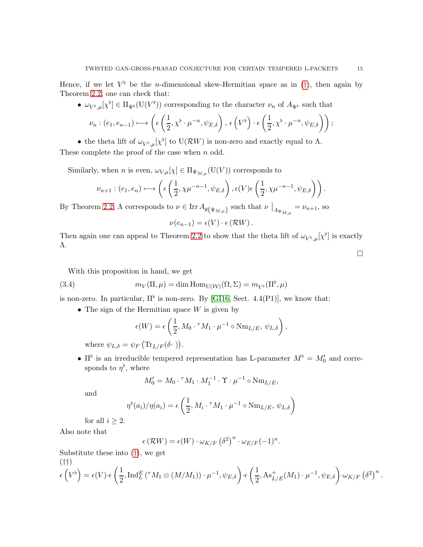Hence, if we let  $V^{\flat}$  be the *n*-dimensional skew-Hermitian space as in ([†](#page-12-0)), then again by Theorem [2.2,](#page-4-1) one can check that:

•  $\omega_{V^{\flat},\mu}[\chi^{\flat}] \in \Pi_{\Psi^{\flat}}(\mathrm{U}(V^{\flat}))$  corresponding to the character  $\nu_n$  of  $A_{\Psi^{\flat}}$  such that

$$
\nu_n : (e_1, e_{n-1}) \longmapsto \left( \epsilon \left( \frac{1}{2}, \chi^{\flat} \cdot \mu^{-n}, \psi_{E, \delta} \right), \epsilon \left( V^{\flat} \right) \cdot \epsilon \left( \frac{1}{2}, \chi^{\flat} \cdot \mu^{-n}, \psi_{E, \delta} \right) \right);
$$

• the theta lift of  $\omega_{V^{\flat},\mu}[\chi^{\flat}]$  to  $U(\mathcal{R}W)$  is non-zero and exactly equal to  $\Lambda$ .

These complete the proof of the case when  $n$  odd.

Similarly, when n is even,  $\omega_{V,\mu}[\chi] \in \Pi_{\Psi_{M,\mu}}(U(V))$  corresponds to

$$
\nu_{n+1} : (e_1, e_n) \longmapsto \left( \epsilon \left( \frac{1}{2}, \chi \mu^{-n-1}, \psi_{E, \delta} \right), \epsilon(V) \epsilon \left( \frac{1}{2}, \chi \mu^{-n-1}, \psi_{E, \delta} \right) \right).
$$

By Theorem [2.2,](#page-4-1)  $\Lambda$  corresponds to  $\nu \in \text{Irr } A_{\theta(\Psi_{M,\mu})}$  such that  $\nu \big|_{A_{\Psi_{M,\mu}}} = \nu_{n+1}$ , so

$$
\nu(e_{n-1}) = \epsilon(V) \cdot \epsilon(\mathcal{R}W).
$$

Then again one can appeal to Theorem [2.2](#page-4-1) to show that the theta lift of  $\omega_{V^{\flat},\mu}[\chi^{\flat}]$  is exactly Λ.  $\Box$ 

With this proposition in hand, we get

(3.4) 
$$
m_V(\Pi,\mu) = \dim \text{Hom}_{U(\mathcal{W})}(\Omega,\Sigma) = m_{V^{\flat}}(\Pi^{\flat},\mu)
$$

is non-zero. In particular,  $\Pi^{\flat}$  is non-zero. By [\[GI16,](#page-17-12) Sect. 4.4(P1)], we know that:

• The sign of the Hermitian space  $W$  is given by

$$
\epsilon(W) = \epsilon\left(\frac{1}{2}, M_0 \cdot {}^{\tau} M_1 \cdot \mu^{-1} \circ \text{Nm}_{L/E}, \psi_{L,\delta}\right),
$$

where  $\psi_{L,\delta} = \psi_F \left( \text{Tr}_{L/F}(\delta \cdot) \right)$ .

•  $\Pi^{\flat}$  is an irreducible tempered representation has L-parameter  $M^{\flat} = M_0'$  and corresponds to  $\eta^{\flat}$ , where

$$
M'_0 = M_0 \cdot {}^{\tau} M_1 \cdot M_1^{-1} \cdot \Upsilon \cdot \mu^{-1} \circ \text{Nm}_{L/E},
$$

and

$$
\eta^{\flat}(a_i)/\eta(a_i) = \epsilon \left(\frac{1}{2}, M_i \cdot {}^{\tau} M_1 \cdot \mu^{-1} \circ \text{Nm}_{L/E}, \psi_{L,\delta}\right)
$$

for all  $i \geq 2$ .

Also note that

$$
\epsilon(\mathcal{R}W) = \epsilon(W) \cdot \omega_{K/F} (\delta^2)^n \cdot \omega_{E/F}(-1)^n.
$$

Substitute these into ([†](#page-12-0)), we get (††)

<span id="page-14-0"></span>
$$
\epsilon\left(V^{\flat}\right) = \epsilon(V) \cdot \epsilon\left(\frac{1}{2}, \operatorname{Ind}_{L}^{E}(\tau M_{1} \otimes (M/M_{1})) \cdot \mu^{-1}, \psi_{E, \delta}\right) \cdot \epsilon\left(\frac{1}{2}, \operatorname{As}_{L/E}^{+}(M_{1}) \cdot \mu^{-1}, \psi_{E, \delta}\right) \cdot \omega_{K/F} \left(\delta^{2}\right)^{n}.
$$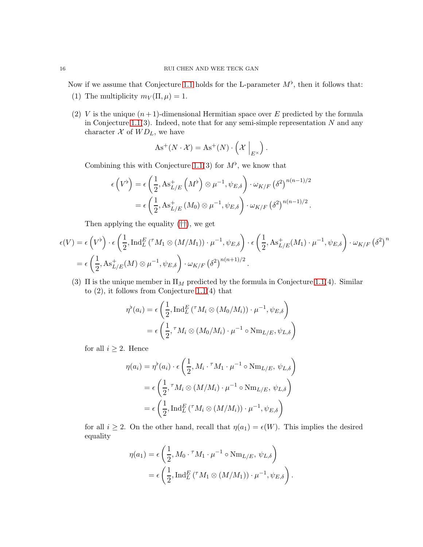Now if we assume that Conjecture [1.1](#page-1-0) holds for the L-parameter  $M^{\flat}$ , then it follows that:

- (1) The multiplicity  $m_V(\Pi,\mu) = 1$ .
- (2) V is the unique  $(n+1)$ -dimensional Hermitian space over E predicted by the formula in Conjecture [1.1\(](#page-1-0)3). Indeed, note that for any semi-simple representation  $N$  and any character  $X$  of  $WD_L$ , we have

$$
As^{+}(N \cdot \mathcal{X}) = As^{+}(N) \cdot \left( \mathcal{X} \big|_{E^{\times}} \right).
$$

Combining this with Conjecture [1.1\(](#page-1-0)3) for  $M^{\flat}$ , we know that

$$
\epsilon \left( V^{\flat} \right) = \epsilon \left( \frac{1}{2}, \mathrm{As}_{L/E}^{+} \left( M^{\flat} \right) \otimes \mu^{-1}, \psi_{E, \delta} \right) \cdot \omega_{K/F} \left( \delta^{2} \right)^{n(n-1)/2}
$$

$$
= \epsilon \left( \frac{1}{2}, \mathrm{As}_{L/E}^{+} \left( M_{0} \right) \otimes \mu^{-1}, \psi_{E, \delta} \right) \cdot \omega_{K/F} \left( \delta^{2} \right)^{n(n-1)/2}.
$$

Then applying the equality ([††](#page-14-0)), we get

$$
\epsilon(V) = \epsilon \left(V^{\flat}\right) \cdot \epsilon \left(\frac{1}{2}, \operatorname{Ind}_{L}^{E} \left(\int M_{1} \otimes \left(M/M_{1}\right)\right) \cdot \mu^{-1}, \psi_{E, \delta}\right) \cdot \epsilon \left(\frac{1}{2}, \operatorname{As}_{L/E}^{+}(M_{1}) \cdot \mu^{-1}, \psi_{E, \delta}\right) \cdot \omega_{K/F} \left(\delta^{2}\right)^{n}
$$

$$
= \epsilon \left(\frac{1}{2}, \operatorname{As}_{L/E}^{+}(M) \otimes \mu^{-1}, \psi_{E, \delta}\right) \cdot \omega_{K/F} \left(\delta^{2}\right)^{n(n+1)/2}.
$$

(3) Π is the unique member in  $\Pi_M$  predicted by the formula in Conjecture [1.1\(](#page-1-0)4). Similar to (2), it follows from Conjecture [1.1\(](#page-1-0)4) that

$$
\eta^{\flat}(a_i) = \epsilon \left( \frac{1}{2}, \operatorname{Ind}_{L}^{E} \left( {}^{\tau} M_i \otimes (M_0/M_i) \right) \cdot \mu^{-1}, \psi_{E, \delta} \right)
$$

$$
= \epsilon \left( \frac{1}{2}, {}^{\tau} M_i \otimes (M_0/M_i) \cdot \mu^{-1} \circ \operatorname{Nm}_{L/E}, \psi_{L, \delta} \right)
$$

for all  $i \geq 2$ . Hence

$$
\eta(a_i) = \eta^{\flat}(a_i) \cdot \epsilon \left(\frac{1}{2}, M_i \cdot {^{\tau}M_1} \cdot \mu^{-1} \circ \text{Nm}_{L/E}, \psi_{L,\delta}\right)
$$

$$
= \epsilon \left(\frac{1}{2}, {^{\tau}M_i} \otimes (M/M_i) \cdot \mu^{-1} \circ \text{Nm}_{L/E}, \psi_{L,\delta}\right)
$$

$$
= \epsilon \left(\frac{1}{2}, \text{Ind}_{L}^{E}({^{\tau}M_i} \otimes (M/M_i)) \cdot \mu^{-1}, \psi_{E,\delta}\right)
$$

for all  $i \geq 2$ . On the other hand, recall that  $\eta(a_1) = \epsilon(W)$ . This implies the desired equality

.

$$
\eta(a_1) = \epsilon \left( \frac{1}{2}, M_0 \cdot {}^{\tau} M_1 \cdot \mu^{-1} \circ \text{Nm}_{L/E}, \psi_{L,\delta} \right)
$$

$$
= \epsilon \left( \frac{1}{2}, \text{Ind}_{L}^{E} \left( {}^{\tau} M_1 \otimes (M/M_1) \right) \cdot \mu^{-1}, \psi_{E,\delta} \right)
$$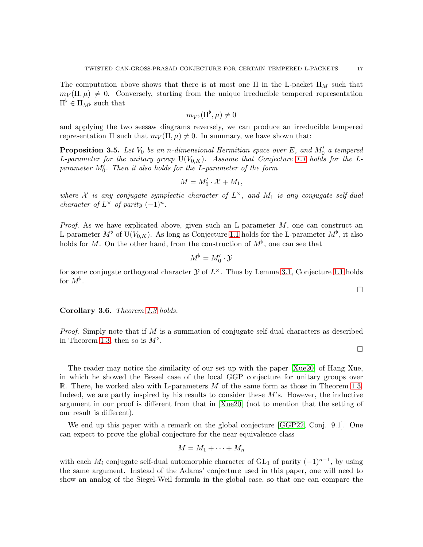The computation above shows that there is at most one  $\Pi$  in the L-packet  $\Pi_M$  such that  $m_V(\Pi, \mu) \neq 0$ . Conversely, starting from the unique irreducible tempered representation  $\Pi^{\flat} \in \Pi_{M^{\flat}}$  such that

$$
m_{V^{\flat}}(\Pi^{\flat}, \mu) \neq 0
$$

and applying the two seesaw diagrams reversely, we can produce an irreducible tempered representation  $\Pi$  such that  $m_V(\Pi, \mu) \neq 0$ . In summary, we have shown that:

**Proposition 3.5.** Let  $V_0$  be an n-dimensional Hermitian space over E, and  $M'_0$  a tempered L-parameter for the unitary group  $U(V_{0,K})$ . Assume that Conjecture [1.1](#page-1-0) holds for the Lparameter  $M'_0$ . Then it also holds for the L-parameter of the form

$$
M = M'_0 \cdot \mathcal{X} + M_1,
$$

where X is any conjugate symplectic character of  $L^{\times}$ , and  $M_1$  is any conjugate self-dual character of  $L^{\times}$  of parity  $(-1)^{n}$ .

*Proof.* As we have explicated above, given such an L-parameter  $M$ , one can construct an L-parameter  $M^{\flat}$  of U( $V_{0,K}$ ). As long as Conjecture [1.1](#page-1-0) holds for the L-parameter  $M^{\flat}$ , it also holds for M. On the other hand, from the construction of  $M^{\flat}$ , one can see that

$$
M^\flat = M'_0 \cdot \mathcal{Y}
$$

for some conjugate orthogonal character  $\mathcal Y$  of  $L^{\times}$ . Thus by Lemma [3.1,](#page-10-1) Conjecture [1.1](#page-1-0) holds for  $M^{\flat}$ .

Corollary 3.6. Theorem [1.3](#page-2-0) holds.

*Proof.* Simply note that if M is a summation of conjugate self-dual characters as described in Theorem [1.3,](#page-2-0) then so is  $M^{\flat}$ .

The reader may notice the similarity of our set up with the paper [\[Xue20\]](#page-18-3) of Hang Xue, in which he showed the Bessel case of the local GGP conjecture for unitary groups over R. There, he worked also with L-parameters M of the same form as those in Theorem [1.3.](#page-2-0) Indeed, we are partly inspired by his results to consider these  $M$ 's. However, the inductive argument in our proof is different from that in [\[Xue20\]](#page-18-3) (not to mention that the setting of our result is different).

We end up this paper with a remark on the global conjecture [\[GGP22,](#page-17-0) Conj. 9.1]. One can expect to prove the global conjecture for the near equivalence class

$$
M = M_1 + \cdots + M_n
$$

with each  $M_i$  conjugate self-dual automorphic character of GL<sub>1</sub> of parity  $(-1)^{n-1}$ , by using the same argument. Instead of the Adams' conjecture used in this paper, one will need to show an analog of the Siegel-Weil formula in the global case, so that one can compare the

 $\Box$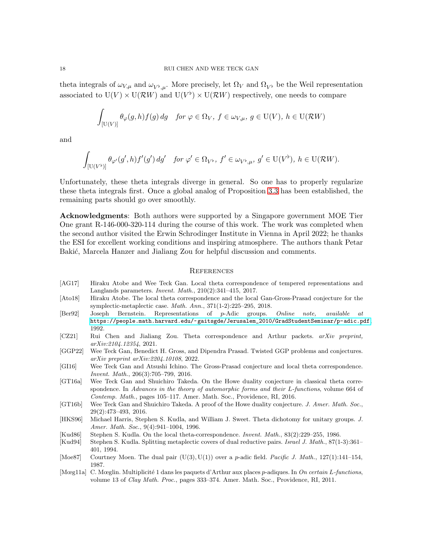theta integrals of  $\omega_{V,\mu}$  and  $\omega_{V^{\flat},\mu}$ . More precisely, let  $\Omega_V$  and  $\Omega_{V^{\flat}}$  be the Weil representation associated to  $U(V) \times U(\mathcal{R}W)$  and  $U(V^{\flat}) \times U(\mathcal{R}W)$  respectively, one needs to compare

$$
\int_{[\mathcal{U}(V)]} \theta_{\varphi}(g, h) f(g) \, dg \quad \text{for } \varphi \in \Omega_V, \ f \in \omega_{V, \mu}, \ g \in \mathcal{U}(V), \ h \in \mathcal{U}(\mathcal{R}W)
$$

and

$$
\int_{\left[\mathrm{U}(V^\flat)\right]} \theta_{\varphi'}(g',h) f'(g')\, dg' \quad \text{for } \varphi' \in \Omega_{V^\flat}, \ f' \in \omega_{V^\flat,\mu}, \ g' \in \mathrm{U}(V^\flat), \ h \in \mathrm{U}(\mathcal{R}W).
$$

Unfortunately, these theta integrals diverge in general. So one has to properly regularize these theta integrals first. Once a global analog of Proposition [3.3](#page-12-1) has been established, the remaining parts should go over smoothly.

Acknowledgments: Both authors were supported by a Singapore government MOE Tier One grant R-146-000-320-114 during the course of this work. The work was completed when the second author visited the Erwin Schrodinger Institute in Vienna in April 2022; he thanks the ESI for excellent working conditions and inspiring atmosphere. The authors thank Petar Bakić, Marcela Hanzer and Jialiang Zou for helpful discussion and comments.

#### **REFERENCES**

- <span id="page-17-9"></span>[AG17] Hiraku Atobe and Wee Teck Gan. Local theta correspondence of tempered representations and Langlands parameters. *Invent. Math.*, 210(2):341–415, 2017.
- <span id="page-17-5"></span>[Ato18] Hiraku Atobe. The local theta correspondence and the local Gan-Gross-Prasad conjecture for the symplectic-metaplectic case. *Math. Ann.*, 371(1-2):225–295, 2018.
- <span id="page-17-11"></span>[Ber92] Joseph Bernstein. Representations of p-Adic groups. *Online note, available at* [https://people.math.harvard.edu/~gaitsgde/Jerusalem\\_2010/GradStudentSeminar/p-adic.pdf](https://people.math.harvard.edu/~gaitsgde/Jerusalem_2010/GradStudentSeminar/p-adic.pdf), 1992.
- <span id="page-17-6"></span>[CZ21] Rui Chen and Jialiang Zou. Theta correspondence and Arthur packets. *arXiv preprint, arXiv:2104.12354*, 2021.
- <span id="page-17-0"></span>[GGP22] Wee Teck Gan, Benedict H. Gross, and Dipendra Prasad. Twisted GGP problems and conjectures. *arXiv preprint arXiv:2204.10108*, 2022.
- <span id="page-17-12"></span>[GI16] Wee Teck Gan and Atsushi Ichino. The Gross-Prasad conjecture and local theta correspondence. *Invent. Math.*, 206(3):705–799, 2016.
- <span id="page-17-3"></span>[GT16a] Wee Teck Gan and Shuichiro Takeda. On the Howe duality conjecture in classical theta correspondence. In *Advances in the theory of automorphic forms and their* L*-functions*, volume 664 of *Contemp. Math.*, pages 105–117. Amer. Math. Soc., Providence, RI, 2016.
- <span id="page-17-4"></span>[GT16b] Wee Teck Gan and Shuichiro Takeda. A proof of the Howe duality conjecture. *J. Amer. Math. Soc.*, 29(2):473–493, 2016.
- <span id="page-17-2"></span>[HKS96] Michael Harris, Stephen S. Kudla, and William J. Sweet. Theta dichotomy for unitary groups. *J. Amer. Math. Soc.*, 9(4):941–1004, 1996.
- <span id="page-17-8"></span>[Kud86] Stephen S. Kudla. On the local theta-correspondence. *Invent. Math.*, 83(2):229–255, 1986.
- <span id="page-17-1"></span>[Kud94] Stephen S. Kudla. Splitting metaplectic covers of dual reductive pairs. *Israel J. Math.*, 87(1-3):361– 401, 1994.
- <span id="page-17-7"></span>[Moe87] Courtney Moen. The dual pair (U(3), U(1)) over a p-adic field. *Pacific J. Math.*, 127(1):141–154, 1987.
- <span id="page-17-10"></span>[Mœg11a] C. Mœglin. Multiplicit´e 1 dans les paquets d'Arthur aux places p-adiques. In *On certain* L*-functions*, volume 13 of *Clay Math. Proc.*, pages 333–374. Amer. Math. Soc., Providence, RI, 2011.